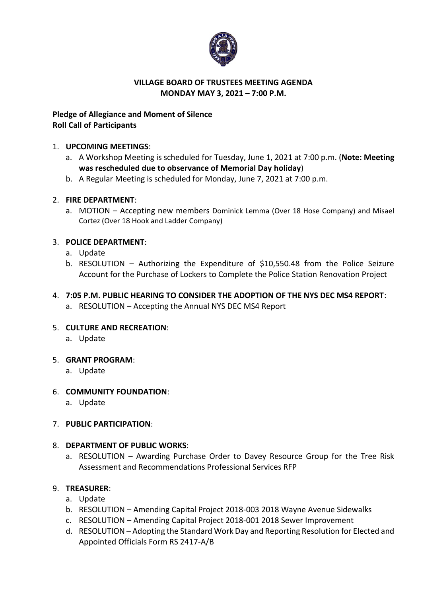

### **VILLAGE BOARD OF TRUSTEES MEETING AGENDA MONDAY MAY 3, 2021 – 7:00 P.M.**

# **Pledge of Allegiance and Moment of Silence Roll Call of Participants**

### 1. **UPCOMING MEETINGS**:

- a. A Workshop Meeting is scheduled for Tuesday, June 1, 2021 at 7:00 p.m. (**Note: Meeting was rescheduled due to observance of Memorial Day holiday**)
- b. A Regular Meeting is scheduled for Monday, June 7, 2021 at 7:00 p.m.

### 2. **FIRE DEPARTMENT**:

a. MOTION – Accepting new members Dominick Lemma (Over 18 Hose Company) and Misael Cortez (Over 18 Hook and Ladder Company)

### 3. **POLICE DEPARTMENT**:

- a. Update
- b. RESOLUTION Authorizing the Expenditure of \$10,550.48 from the Police Seizure Account for the Purchase of Lockers to Complete the Police Station Renovation Project

# 4. **7:05 P.M. PUBLIC HEARING TO CONSIDER THE ADOPTION OF THE NYS DEC MS4 REPORT**:

a. RESOLUTION – Accepting the Annual NYS DEC MS4 Report

# 5. **CULTURE AND RECREATION**:

a. Update

#### 5. **GRANT PROGRAM**:

a. Update

# 6. **COMMUNITY FOUNDATION**:

a. Update

# 7. **PUBLIC PARTICIPATION**:

# 8. **DEPARTMENT OF PUBLIC WORKS**:

a. RESOLUTION – Awarding Purchase Order to Davey Resource Group for the Tree Risk Assessment and Recommendations Professional Services RFP

# 9. **TREASURER**:

- a. Update
- b. RESOLUTION Amending Capital Project 2018-003 2018 Wayne Avenue Sidewalks
- c. RESOLUTION Amending Capital Project 2018-001 2018 Sewer Improvement
- d. RESOLUTION Adopting the Standard Work Day and Reporting Resolution for Elected and Appointed Officials Form RS 2417-A/B